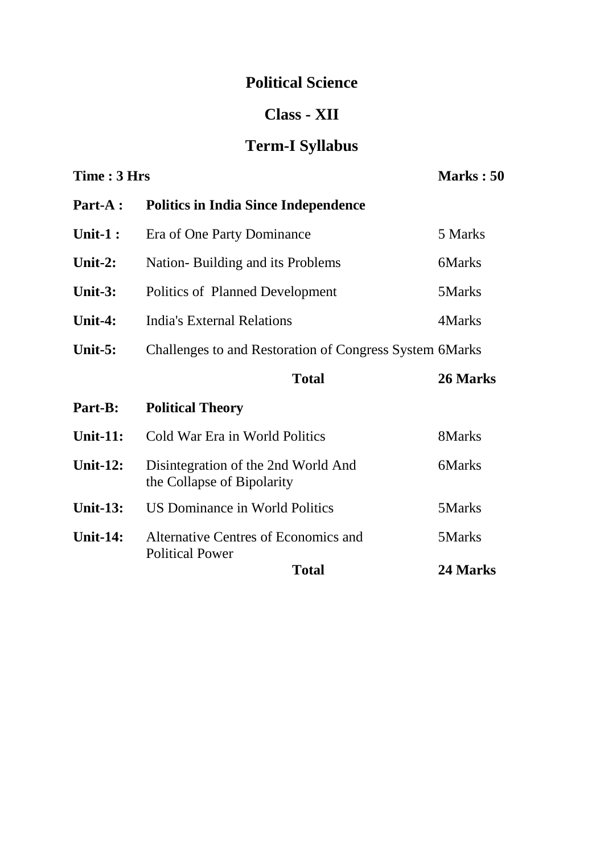## **Political Science**

#### **Class - XII**

# **Term-I Syllabus**

| Time: 3 Hrs     |                                                                   | Marks: 50 |
|-----------------|-------------------------------------------------------------------|-----------|
| Part-A :        | <b>Politics in India Since Independence</b>                       |           |
| Unit- $1:$      | Era of One Party Dominance                                        | 5 Marks   |
| Unit-2:         | Nation-Building and its Problems                                  | 6Marks    |
| Unit- $3:$      | Politics of Planned Development                                   | 5Marks    |
| Unit-4:         | <b>India's External Relations</b>                                 | 4Marks    |
| Unit- $5:$      | Challenges to and Restoration of Congress System 6Marks           |           |
|                 | <b>Total</b>                                                      | 26 Marks  |
| Part-B:         | <b>Political Theory</b>                                           |           |
| <b>Unit-11:</b> | Cold War Era in World Politics                                    | 8Marks    |
| <b>Unit-12:</b> | Disintegration of the 2nd World And<br>the Collapse of Bipolarity | 6Marks    |
| <b>Unit-13:</b> | <b>US Dominance in World Politics</b>                             | 5Marks    |
| <b>Unit-14:</b> | Alternative Centres of Economics and<br><b>Political Power</b>    | 5Marks    |
|                 | <b>Total</b>                                                      | 24 Marks  |